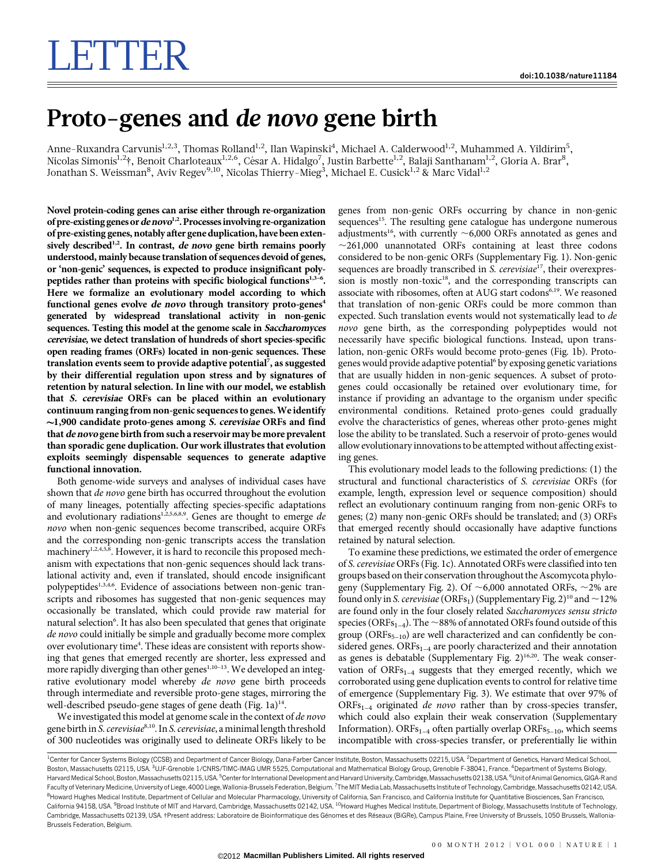## Proto-genes and de novo gene birth

Anne-Ruxandra Carvunis<sup>1,2,3</sup>, Thomas Rolland<sup>1,2</sup>, Ilan Wapinski<sup>4</sup>, Michael A. Calderwood<sup>1,2</sup>, Muhammed A. Yildirim<sup>5</sup>, Nicolas Simonis<sup>1,2</sup>†, Benoit Charloteaux<sup>1,2,6</sup>, César A. Hidalgo<sup>7</sup>, Justin Barbette<sup>1,2</sup>, Balaji Santhanam<sup>1,2</sup>, Gloria A. Brar<sup>8</sup>, Jonathan S. Weissman $^8$ , Aviv Regev $^{9,10}$ , Nicolas Thierry-M $\mathrm{ieg}^3$ , Michael E. Cusick $^{1,2}$  & Marc Vidal $^{1,2}$ 

Novel protein-coding genes can arise either through re-organization of pre-existing genes or de novo<sup>1,2</sup>. Processes involving re-organization of pre-existing genes, notably after gene duplication, have been extensively described<sup>1,2</sup>. In contrast, de novo gene birth remains poorly understood, mainly because translation of sequences devoid of genes, or 'non-genic' sequences, is expected to produce insignificant polypeptides rather than proteins with specific biological functions<sup>1,3-6</sup>. Here we formalize an evolutionary model according to which functional genes evolve de novo through transitory proto-genes<sup>4</sup> generated by widespread translational activity in non-genic sequences. Testing this model at the genome scale in Saccharomyces cerevisiae, we detect translation of hundreds of short species-specific open reading frames (ORFs) located in non-genic sequences. These translation events seem to provide adaptive potential<sup>7</sup>, as suggested by their differential regulation upon stress and by signatures of retention by natural selection. In line with our model, we establish that S. cerevisiae ORFs can be placed within an evolutionary continuum ranging from non-genic sequences to genes.We identify  $\sim$ 1,900 candidate proto-genes among *S. cerevisiae* ORFs and find that de novo gene birth from such a reservoir may be more prevalent than sporadic gene duplication. Our work illustrates that evolution exploits seemingly dispensable sequences to generate adaptive functional innovation.

Both genome-wide surveys and analyses of individual cases have shown that *de novo* gene birth has occurred throughout the evolution of many lineages, potentially affecting species-specific adaptations and evolutionary radiations<sup>1,2,5,6,8,9</sup>. Genes are thought to emerge de novo when non-genic sequences become transcribed, acquire ORFs and the corresponding non-genic transcripts access the translation machinery<sup>1,2,4,5,8</sup>. However, it is hard to reconcile this proposed mechanism with expectations that non-genic sequences should lack translational activity and, even if translated, should encode insignificant polypeptides<sup>1,3,4,6</sup>. Evidence of associations between non-genic transcripts and ribosomes has suggested that non-genic sequences may occasionally be translated, which could provide raw material for natural selection<sup>6</sup>. It has also been speculated that genes that originate de novo could initially be simple and gradually become more complex over evolutionary time<sup>4</sup>. These ideas are consistent with reports showing that genes that emerged recently are shorter, less expressed and more rapidly diverging than other genes<sup>1,10-13</sup>. We developed an integrative evolutionary model whereby de novo gene birth proceeds through intermediate and reversible proto-gene stages, mirroring the well-described pseudo-gene stages of gene death (Fig.  $1a)^{14}$ .

We investigated this model at genome scale in the context of de novo gene birth in S. cerevisiae<sup>8,10</sup>. In S. cerevisiae, a minimal length threshold of 300 nucleotides was originally used to delineate ORFs likely to be genes from non-genic ORFs occurring by chance in non-genic sequences<sup>15</sup>. The resulting gene catalogue has undergone numerous adjustments<sup>16</sup>, with currently  $\sim$  6,000 ORFs annotated as genes and  $\sim$ 261,000 unannotated ORFs containing at least three codons considered to be non-genic ORFs (Supplementary Fig. 1). Non-genic sequences are broadly transcribed in S. cerevisiae<sup>17</sup>, their overexpression is mostly non-toxic<sup>18</sup>, and the corresponding transcripts can associate with ribosomes, often at AUG start codons<sup>6,19</sup>. We reasoned that translation of non-genic ORFs could be more common than expected. Such translation events would not systematically lead to de novo gene birth, as the corresponding polypeptides would not necessarily have specific biological functions. Instead, upon translation, non-genic ORFs would become proto-genes (Fig. 1b). Protogenes would provide adaptive potential<sup>6</sup> by exposing genetic variations that are usually hidden in non-genic sequences. A subset of protogenes could occasionally be retained over evolutionary time, for instance if providing an advantage to the organism under specific environmental conditions. Retained proto-genes could gradually evolve the characteristics of genes, whereas other proto-genes might lose the ability to be translated. Such a reservoir of proto-genes would allow evolutionary innovations to be attempted without affecting existing genes.

This evolutionary model leads to the following predictions: (1) the structural and functional characteristics of S. cerevisiae ORFs (for example, length, expression level or sequence composition) should reflect an evolutionary continuum ranging from non-genic ORFs to genes; (2) many non-genic ORFs should be translated; and (3) ORFs that emerged recently should occasionally have adaptive functions retained by natural selection.

To examine these predictions, we estimated the order of emergence of S. cerevisiae ORFs (Fig. 1c). Annotated ORFs were classified into ten groups based on their conservation throughout the Ascomycota phylogeny (Supplementary Fig. 2). Of  $\sim$  6,000 annotated ORFs,  $\sim$  2% are found only in S. cerevisiae (ORFs<sub>1</sub>) (Supplementary Fig. 2)<sup>10</sup> and  $\sim$ 12% are found only in the four closely related Saccharomyces sensu stricto species (ORFs<sub>1–4</sub>). The  $\sim$ 88% of annotated ORFs found outside of this group ( $ORFs_{5-10}$ ) are well characterized and can confidently be considered genes.  $ORFs_{1-4}$  are poorly characterized and their annotation as genes is debatable (Supplementary Fig.  $2$ )<sup>16,20</sup>. The weak conservation of  $ORFs_{1-4}$  suggests that they emerged recently, which we corroborated using gene duplication events to control for relative time of emergence (Supplementary Fig. 3). We estimate that over 97% of  $ORFs_{1-4}$  originated *de novo* rather than by cross-species transfer, which could also explain their weak conservation (Supplementary Information). ORFs<sub>1–4</sub> often partially overlap ORFs<sub>5–10</sub>, which seems incompatible with cross-species transfer, or preferentially lie within

<sup>&</sup>lt;sup>1</sup>Center for Cancer Systems Biology (CCSB) and Department of Cancer Biology, Dana-Farber Cancer Institute, Boston, Massachusetts 02215, USA. <sup>2</sup>Department of Genetics, Harvard Medical School Boston, Massachusetts 02115, USA. <sup>3</sup>UJF-Grenoble 1/CNRS/TIMC-IMAG UMR 5525, Computational and Mathematical Biology Group, Grenoble F-38041, France. <sup>4</sup>Department of Systems Biology Harvard Medical School, Boston, Massachusetts 02115, USA. <sup>5</sup>Center for International Development and Harvard University, Cambridge, Massachusetts 02138, USA. <sup>6</sup>Unit of Animal Genomics, GIGA-R anc Faculty of Veterinary Medicine, University of Liege, 4000 Liege, Wallonia-Brussels Federation, Belgium. <sup>7</sup>The MIT Media Lab, Massachusetts Institute of Technology, Cambridge, Massachusetts 02142, USA <sup>8</sup>Howard Hughes Medical Institute, Department of Cellular and Molecular Pharmacology, University of California, San Francisco, and California Institute for Quantitative Biosciences, San Francisco California 94158, USA. <sup>9</sup>Broad Institute of MIT and Harvard, Cambridge, Massachusetts 02142, USA. <sup>10</sup>Howard Hughes Medical Institute, Department of Biology, Massachusetts Institute of Technology Cambridge, Massachusetts 02139, USA. †Present address: Laboratoire de Bioinformatique des Génomes et des Réseaux (BiGRe), Campus Plaine, Free University of Brussels, 1050 Brussels, Wallonia-Brussels Federation, Belgium.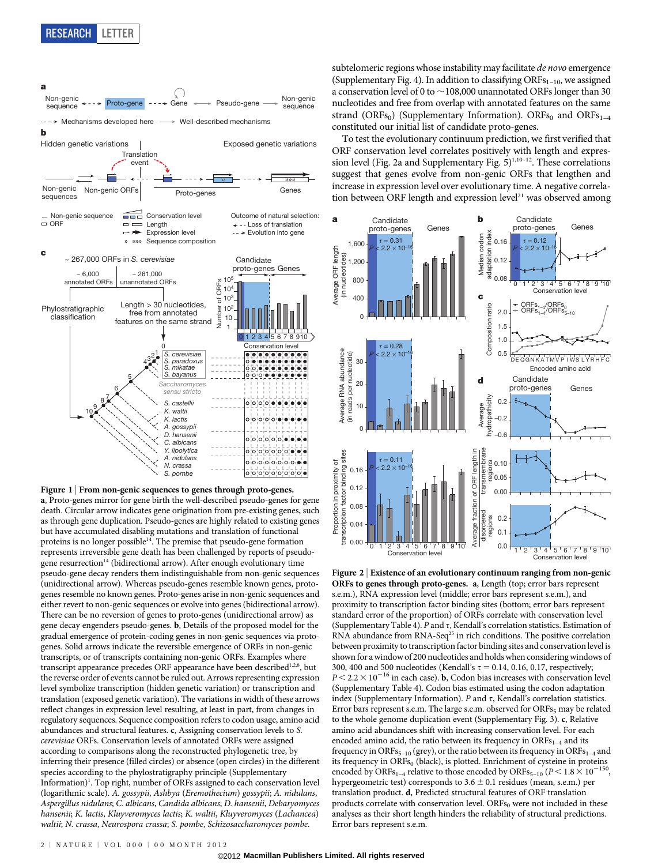

Figure 1 | From non-genic sequences to genes through proto-genes. a, Proto-genes mirror for gene birth the well-described pseudo-genes for gene death. Circular arrow indicates gene origination from pre-existing genes, such as through gene duplication. Pseudo-genes are highly related to existing genes but have accumulated disabling mutations and translation of functional proteins is no longer possible<sup>14</sup>. The premise that pseudo-gene formation represents irreversible gene death has been challenged by reports of pseudogene resurrection<sup>14</sup> (bidirectional arrow). After enough evolutionary time pseudo-gene decay renders them indistinguishable from non-genic sequences (unidirectional arrow). Whereas pseudo-genes resemble known genes, protogenes resemble no known genes. Proto-genes arise in non-genic sequences and either revert to non-genic sequences or evolve into genes (bidirectional arrow). There can be no reversion of genes to proto-genes (unidirectional arrow) as gene decay engenders pseudo-genes. b, Details of the proposed model for the gradual emergence of protein-coding genes in non-genic sequences via protogenes. Solid arrows indicate the reversible emergence of ORFs in non-genic transcripts, or of transcripts containing non-genic ORFs. Examples where transcript appearance precedes ORF appearance have been described<sup>1,2,8</sup>, but the reverse order of events cannot be ruled out. Arrows representing expression level symbolize transcription (hidden genetic variation) or transcription and translation (exposed genetic variation). The variations in width of these arrows reflect changes in expression level resulting, at least in part, from changes in regulatory sequences. Sequence composition refers to codon usage, amino acid abundances and structural features. c, Assigning conservation levels to S. cerevisiae ORFs. Conservation levels of annotated ORFs were assigned according to comparisons along the reconstructed phylogenetic tree, by inferring their presence (filled circles) or absence (open circles) in the different species according to the phylostratigraphy principle (Supplementary Information)<sup>1</sup>. Top right, number of ORFs assigned to each conservation level (logarithmic scale). A. gossypii, Ashbya (Eremothecium) gossypii; A. nidulans, Aspergillus nidulans; C. albicans, Candida albicans; D. hansenii, Debaryomyces hansenii; K. lactis, Kluyveromyces lactis; K. waltii, Kluyveromyces (Lachancea) waltii; N. crassa, Neurospora crassa; S. pombe, Schizosaccharomyces pombe.

To test the evolutionary continuum prediction, we first verified that ORF conservation level correlates positively with length and expression level (Fig. 2a and Supplementary Fig.  $5)^{1,10-12}$ . These correlations suggest that genes evolve from non-genic ORFs that lengthen and increase in expression level over evolutionary time. A negative correla-The proto-genes The Cenes and the Cenes are the expression level over evolutionary time. A negative correla-<br>Froto-genes Genes Genes (Genes discussion between ORF length and expression level<sup>21</sup> was observed among



Figure 2 <sup>|</sup> Existence of an evolutionary continuum ranging from non-genic ORFs to genes through proto-genes. a, Length (top; error bars represent s.e.m.), RNA expression level (middle; error bars represent s.e.m.), and proximity to transcription factor binding sites (bottom; error bars represent standard error of the proportion) of ORFs correlate with conservation level (Supplementary Table 4). P and  $\tau$ , Kendall's correlation statistics. Estimation of RNA abundance from RNA-Seq<sup>25</sup> in rich conditions. The positive correlation between proximity to transcription factor binding sites and conservation level is shown for a window of 200 nucleotides and holds when considering windows of 300, 400 and 500 nucleotides (Kendall's  $\tau = 0.14$ , 0.16, 0.17, respectively;  $P$  < 2.2  $\times$  10  $^{-16}$  in each case).  $\bf{b}$  Codon bias increases with conservation level (Supplementary Table 4). Codon bias estimated using the codon adaptation index (Supplementary Information).  $P$  and  $\tau$ , Kendall's correlation statistics. Error bars represent s.e.m. The large s.e.m. observed for ORFs<sub>5</sub> may be related to the whole genome duplication event (Supplementary Fig. 3). c, Relative amino acid abundances shift with increasing conservation level. For each encoded amino acid, the ratio between its frequency in  $ORFs_{1-4}$  and its frequency in ORFs<sub>5–10</sub> (grey), or the ratio between its frequency in ORFs<sub>1–4</sub> and its frequency in ORFs<sub>0</sub> (black), is plotted. Enrichment of cysteine in proteins encoded by ORFs<sub>1–4</sub> relative to those encoded by ORFs<sub>5–10</sub> ( $P < 1.8 \times 10^{-150}$ , hypergeometric test) corresponds to  $3.6 \pm 0.1$  residues (mean, s.e.m.) per translation product. d, Predicted structural features of ORF translation products correlate with conservation level.  $\text{ORFs}_0$  were not included in these analyses as their short length hinders the reliability of structural predictions. Error bars represent s.e.m.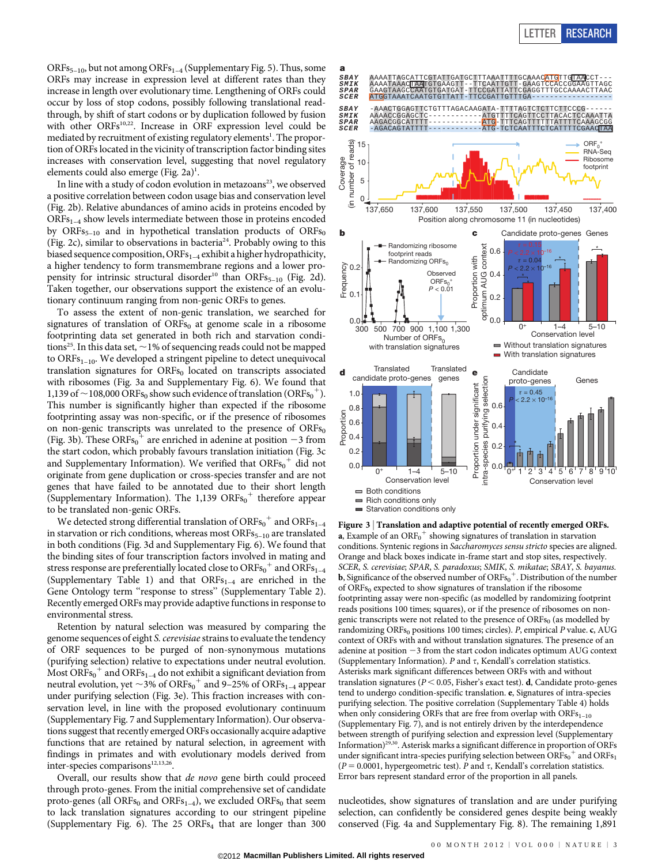ORFs<sub>5–10</sub>, but not among ORFs<sub>1–4</sub> (Supplementary Fig. 5). Thus, some ORFs may increase in expression level at different rates than they increase in length over evolutionary time. Lengthening of ORFs could occur by loss of stop codons, possibly following translational readthrough, by shift of start codons or by duplication followed by fusion with other ORFs<sup>10,22</sup>. Increase in ORF expression level could be mediated by recruitment of existing regulatory elements<sup>1</sup>. The proportion of ORFs located in the vicinity of transcription factor binding sites increases with conservation level, suggesting that novel regulatory elements could also emerge (Fig. 2a)<sup>1</sup>.

In line with a study of codon evolution in metazoans<sup>23</sup>, we observed a positive correlation between codon usage bias and conservation level (Fig. 2b). Relative abundances of amino acids in proteins encoded by ORFs<sub>1-4</sub> show levels intermediate between those in proteins encoded by ORFs<sub>5-10</sub> and in hypothetical translation products of ORFs<sub>0</sub> (Fig. 2c), similar to observations in bacteria<sup>24</sup>. Probably owing to this biased sequence composition, ORFs<sub>1-4</sub> exhibit a higher hydropathicity, a higher tendency to form transmembrane regions and a lower propensity for intrinsic structural disorder<sup>10</sup> than ORFs<sub>5-10</sub> (Fig. 2d). Taken together, our observations support the existence of an evolutionary continuum ranging from non-genic ORFs to genes.

To assess the extent of non-genic translation, we searched for signatures of translation of  $ORFs<sub>0</sub>$  at genome scale in a ribosome footprinting data set generated in both rich and starvation conditions<sup>25</sup>. In this data set,  $\sim$  1% of sequencing reads could not be mapped to  $ORFs<sub>1–10</sub>$ . We developed a stringent pipeline to detect unequivocal translation signatures for ORFs<sub>0</sub> located on transcripts associated with ribosomes (Fig. 3a and Supplementary Fig. 6). We found that 1,139 of  $\sim$  108,000 ORFs<sub>0</sub> show such evidence of translation (ORFs<sub>0</sub><sup>+</sup>). This number is significantly higher than expected if the ribosome footprinting assay was non-specific, or if the presence of ribosomes on non-genic transcripts was unrelated to the presence of  $ORFs<sub>0</sub>$ (Fig. 3b). These ORFs<sub>0</sub><sup>+</sup> are enriched in adenine at position -3 from the start codon, which probably favours translation initiation (Fig. 3c and Supplementary Information). We verified that  $\mathrm{ORFs}_{0}^{+}$  did not originate from gene duplication or cross-species transfer and are not genes that have failed to be annotated due to their short length (Supplementary Information). The  $1,139$  ORFs<sub>0</sub><sup>+</sup> therefore appear to be translated non-genic ORFs.

We detected strong differential translation of  $\mathrm{ORFs}_{0}^{+}$  and  $\mathrm{ORFs}_{1-4}$ in starvation or rich conditions, whereas most  $\text{ORFs}_{5-10}$  are translated in both conditions (Fig. 3d and Supplementary Fig. 6). We found that the binding sites of four transcription factors involved in mating and stress response are preferentially located close to ORFs $_{\rm 0}^{+}$  and ORFs $_{\rm 1-4}$ (Supplementary Table 1) and that  $ORFs_{1-4}$  are enriched in the Gene Ontology term "response to stress" (Supplementary Table 2). Recently emerged ORFs may provide adaptive functions in response to environmental stress.

Retention by natural selection was measured by comparing the genome sequences of eight S. cerevisiae strains to evaluate the tendency of ORF sequences to be purged of non-synonymous mutations (purifying selection) relative to expectations under neutral evolution. Most  $\overline{ORFs_0}^+$  and  $\overline{ORFs_{1-4}}$  do not exhibit a significant deviation from neutral evolution, yet  $\sim$ 3% of ORFs<sub>0</sub><sup>+</sup> and 9–25% of ORFs<sub>1–4</sub> appear under purifying selection (Fig. 3e). This fraction increases with conservation level, in line with the proposed evolutionary continuum (Supplementary Fig. 7 and Supplementary Information). Our observations suggest that recently emerged ORFs occasionally acquire adaptive functions that are retained by natural selection, in agreement with findings in primates and with evolutionary models derived from inter-species comparisons<sup>12,13,26</sup>.

Overall, our results show that de novo gene birth could proceed through proto-genes. From the initial comprehensive set of candidate proto-genes (all ORFs<sub>0</sub> and ORFs<sub>1–4</sub>), we excluded ORFs<sub>0</sub> that seem to lack translation signatures according to our stringent pipeline (Supplementary Fig. 6). The  $25$  ORFs<sub>4</sub> that are longer than  $300$ 



Figure 3 Translation and adaptive potential of recently emerged ORFs. **a**, Example of an  $\text{ORF}_0^+$  showing signatures of translation in starvation conditions. Syntenic regions in Saccharomyces sensu stricto species are aligned. Orange and black boxes indicate in-frame start and stop sites, respectively. SCER, S. cerevisiae; SPAR, S. paradoxus; SMIK, S. mikatae; SBAY, S. bayanus. **b**, Significance of the observed number of  $\mathrm{ORFs}_0^+$ . Distribution of the number of ORFs<sub>0</sub> expected to show signatures of translation if the ribosome footprinting assay were non-specific (as modelled by randomizing footprint reads positions 100 times; squares), or if the presence of ribosomes on nongenic transcripts were not related to the presence of  $\text{ORFs}_0$  (as modelled by randomizing ORFs<sub>0</sub> positions 100 times; circles). P, empirical P value. c, AUG context of ORFs with and without translation signatures. The presence of an adenine at position  $-3$  from the start codon indicates optimum AUG context (Supplementary Information).  $P$  and  $\tau$ , Kendall's correlation statistics. Asterisks mark significant differences between ORFs with and without translation signatures ( $P < 0.05$ , Fisher's exact test). d, Candidate proto-genes tend to undergo condition-specific translation. e, Signatures of intra-species purifying selection. The positive correlation (Supplementary Table 4) holds when only considering ORFs that are free from overlap with  $ORFs<sub>1-10</sub>$ (Supplementary Fig. 7), and is not entirely driven by the interdependence between strength of purifying selection and expression level (Supplementary Information)29,30. Asterisk marks a significant difference in proportion of ORFs under significant intra-species purifying selection between  $\overline{\text{ORFs}}_0^+$  and  $\overline{\text{ORFs}}_1$  $(P = 0.0001$ , hypergeometric test). P and  $\tau$ , Kendall's correlation statistics. Error bars represent standard error of the proportion in all panels.

nucleotides, show signatures of translation and are under purifying selection, can confidently be considered genes despite being weakly conserved (Fig. 4a and Supplementary Fig. 8). The remaining 1,891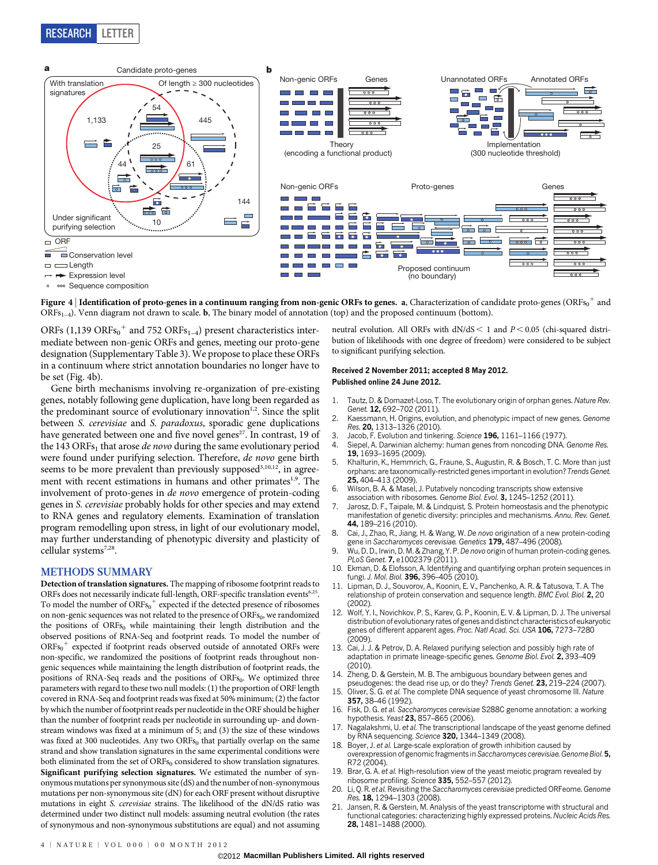

Figure 4  $|$  Identification of proto-genes in a continuum ranging from non-genic ORFs to genes. a, Characterization of candidate proto-genes (ORFs $^{\rm o+}$  and  $ORFs_{1-4}$ ). Venn diagram not drawn to scale. **b**, The binary model of annotation (top) and the proposed continuum (bottom).

ORFs (1,139 ORFs $_{0}^{+}$  and 752 ORFs<sub>1-4</sub>) present characteristics intermediate between non-genic ORFs and genes, meeting our proto-gene designation (Supplementary Table 3). We propose to place these ORFs in a continuum where strict annotation boundaries no longer have to be set (Fig. 4b).

Gene birth mechanisms involving re-organization of pre-existing genes, notably following gene duplication, have long been regarded as the predominant source of evolutionary innovation $1,2$ . Since the split between S. cerevisiae and S. paradoxus, sporadic gene duplications have generated between one and five novel genes<sup>27</sup>. In contrast, 19 of the 143 ORFs<sub>1</sub> that arose *de novo* during the same evolutionary period were found under purifying selection. Therefore, de novo gene birth seems to be more prevalent than previously supposed<sup>3,10,12</sup>, in agreement with recent estimations in humans and other primates<sup>1,9</sup>. The involvement of proto-genes in de novo emergence of protein-coding genes in S. cerevisiae probably holds for other species and may extend to RNA genes and regulatory elements. Examination of translation program remodelling upon stress, in light of our evolutionary model, may further understanding of phenotypic diversity and plasticity of cellular systems<sup>7,28</sup>.

## METHODS SUMMARY

Detection of translation signatures. The mapping of ribosome footprint reads to ORFs does not necessarily indicate full-length, ORF-specific translation events<sup>6,25</sup>. To model the number of  $\overline{{\rm ORFs}_0}^+$  expected if the detected presence of ribosomes on non-genic sequences was not related to the presence of  $\mathrm{ORFs}_{0}$ , we randomized the positions of  $ORFs<sub>0</sub>$  while maintaining their length distribution and the observed positions of RNA-Seq and footprint reads. To model the number of  $ORFs_0$ <sup>+</sup> expected if footprint reads observed outside of annotated ORFs were non-specific, we randomized the positions of footprint reads throughout nongenic sequences while maintaining the length distribution of footprint reads, the positions of RNA-Seq reads and the positions of ORFs<sub>0</sub>. We optimized three parameters with regard to these two null models: (1) the proportion of ORF length covered in RNA-Seq and footprint reads was fixed at 50% minimum; (2) the factor by which the number of footprint reads per nucleotide in the ORF should be higher than the number of footprint reads per nucleotide in surrounding up- and downstream windows was fixed at a minimum of 5; and (3) the size of these windows was fixed at 300 nucleotides. Any two  $ORFs<sub>0</sub>$  that partially overlap on the same strand and show translation signatures in the same experimental conditions were both eliminated from the set of ORFs<sub>0</sub> considered to show translation signatures. Significant purifying selection signatures. We estimated the number of synonymous mutations per synonymous site (dS) and the number of non-synonymous mutations per non-synonymous site (dN) for each ORF present without disruptive mutations in eight S. cerevisiae strains. The likelihood of the dN/dS ratio was determined under two distinct null models: assuming neutral evolution (the rates of synonymous and non-synonymous substitutions are equal) and not assuming neutral evolution. All ORFs with  $dN/dS < 1$  and  $P < 0.05$  (chi-squared distribution of likelihoods with one degree of freedom) were considered to be subject to significant purifying selection.

## Received 2 November 2011; accepted 8 May 2012. Published online 24 June 2012.

- 1. Tautz, D. & Domazet-Loso, T. The evolutionary origin of orphan genes. Nature Rev. Genet. 12, 692-702 (2011).
- 2. Kaessmann, H. Origins, evolution, and phenotypic impact of new genes. Genome Res. 20, 1313–1326 (2010).
- Jacob, F. Evolution and tinkering. Science 196, 1161–1166 (1977).
- 4. Siepel, A. Darwinian alchemy: human genes from noncoding DNA. Genome Res. 19, 1693–1695 (2009).
- 5. Khalturin, K., Hemmrich, G., Fraune, S., Augustin, R. & Bosch, T. C. More than just orphans: are taxonomically-restricted genes important in evolution? Trends Genet. 25, 404–413 (2009).
- Wilson, B. A. & Masel, J. Putatively noncoding transcripts show extensive association with ribosomes. Genome Biol. Evol. 3, 1245-1252 (2011).
- 7. Jarosz, D. F., Taipale, M. & Lindquist, S. Protein homeostasis and the phenotypic manifestation of genetic diversity: principles and mechanisms. Annu. Rev. Genet. 44, 189–216 (2010).
- Cai, J., Zhao, R., Jiang, H. & Wang, W. De novo origination of a new protein-coding gene in Saccharomyces cerevisiae. Genetics 179, 487-496 (2008).
- Wu, D. D., Irwin, D. M. & Zhang, Y. P. De novo origin of human protein-coding genes. PLoS Genet. 7, e1002379 (2011).
- 10. Ekman, D. & Elofsson, A. Identifying and quantifying orphan protein sequences in fungi. J. Mol. Biol. 396, 396–405 (2010).
- Lipman, D. J., Souvorov, A., Koonin, E. V., Panchenko, A. R. & Tatusova, T. A. The relationship of protein conservation and sequence length. BMC Evol. Biol. 2, 20 (2002).
- 12. Wolf, Y. I., Novichkov, P. S., Karev, G. P., Koonin, E. V. & Lipman, D. J. The universal distribution of evolutionary rates of genes and distinct characteristics of eukaryotic genes of different apparent ages. Proc. Natl Acad. Sci. USA 106, 7273–7280  $(2009)$
- 13. Cai, J. J. & Petrov, D. A. Relaxed purifying selection and possibly high rate of adaptation in primate lineage-specific genes. Genome Biol. Evol. 2, 393–409  $(2010)$
- 14. Zheng, D. & Gerstein, M. B. The ambiguous boundary between genes and pseudogenes: the dead rise up, or do they? Trends Genet. 23, 219-224 (2007).
- 15. Oliver, S. G. et al. The complete DNA sequence of yeast chromosome III. Nature 357, 38–46 (1992).
- 16. Fisk, D. G. et al. Saccharomyces cerevisiae S288C genome annotation: a working hypothesis. Yeast 23, 857–865 (2006).
- 17. Nagalakshmi, U. et al. The transcriptional landscape of the yeast genome defined by RNA sequencing. Science 320, 1344–1349 (2008).
- 18. Boyer, J. et al. Large-scale exploration of growth inhibition caused by overexpression of genomic fragments in Saccharomyces cerevisiae. Genome Biol. 5, R72 (2004).
- 19. Brar, G. A. et al. High-resolution view of the yeast meiotic program revealed by ribosome profiling. Science 335, 552-557 (2012).
- Li, Q. R. et al. Revisiting the Saccharomyces cerevisiae predicted ORFeome. Genome Res. 18, 1294–1303 (2008).
- 21. Jansen, R. & Gerstein, M. Analysis of the yeast transcriptome with structural and functional categories: characterizing highly expressed proteins. Nucleic Acids Res. 28, 1481–1488 (2000).